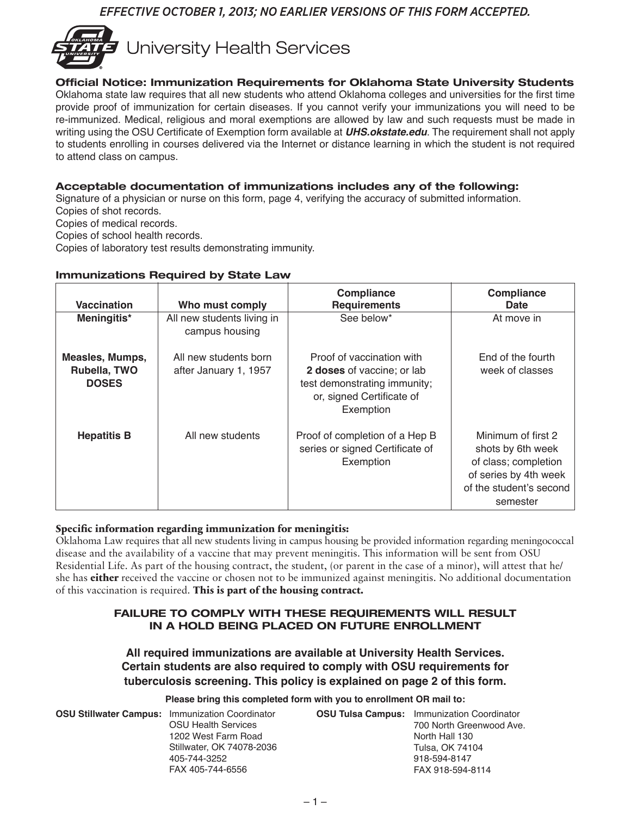## *EFFECTIVE OCTOBER 1, 2013; NO EARLIER VERSIONS OF THIS FORM ACCEPTED.*



### Official Notice: Immunization Requirements for Oklahoma State University Students

Oklahoma state law requires that all new students who attend Oklahoma colleges and universities for the first time provide proof of immunization for certain diseases. If you cannot verify your immunizations you will need to be re-immunized. Medical, religious and moral exemptions are allowed by law and such requests must be made in writing using the OSU Certificate of Exemption form available at *UHS.okstate.edu*. The requirement shall not apply to students enrolling in courses delivered via the Internet or distance learning in which the student is not required to attend class on campus.

## Acceptable documentation of immunizations includes any of the following:

Signature of a physician or nurse on this form, page 4, verifying the accuracy of submitted information. Copies of shot records.

Copies of medical records.

Copies of school health records.

Copies of laboratory test results demonstrating immunity.

## Immunizations Required by State Law

| <b>Vaccination</b>                                     | Who must comply                                | <b>Compliance</b><br><b>Requirements</b>                                                                                          | <b>Compliance</b><br>Date                                                                                                       |
|--------------------------------------------------------|------------------------------------------------|-----------------------------------------------------------------------------------------------------------------------------------|---------------------------------------------------------------------------------------------------------------------------------|
| Meningitis*                                            | All new students living in<br>campus housing   | See below*                                                                                                                        | At move in                                                                                                                      |
| <b>Measles, Mumps,</b><br>Rubella, TWO<br><b>DOSES</b> | All new students born<br>after January 1, 1957 | Proof of vaccination with<br>2 doses of vaccine; or lab<br>test demonstrating immunity;<br>or, signed Certificate of<br>Exemption | End of the fourth<br>week of classes                                                                                            |
| <b>Hepatitis B</b>                                     | All new students                               | Proof of completion of a Hep B<br>series or signed Certificate of<br>Exemption                                                    | Minimum of first 2<br>shots by 6th week<br>of class; completion<br>of series by 4th week<br>of the student's second<br>semester |

## **Specific information regarding immunization for meningitis:**

Oklahoma Law requires that all new students living in campus housing be provided information regarding meningococcal disease and the availability of a vaccine that may prevent meningitis. This information will be sent from OSU Residential Life. As part of the housing contract, the student, (or parent in the case of a minor), will attest that he/ she has **either** received the vaccine or chosen not to be immunized against meningitis. No additional documentation of this vaccination is required. **This is part of the housing contract.**

#### FAILURE TO COMPLY WITH THESE REQUIREMENTS WILL RESULT IN A HOLD BEING PLACED ON FUTURE ENROLLMENT

**All required immunizations are available at University Health Services. Certain students are also required to comply with OSU requirements for tuberculosis screening. This policy is explained on page 2 of this form.**

**Please bring this completed form with you to enrollment OR mail to:**

**OSU Stillwater Campus:** Immunization Coordinator

OSU Health Services 1202 West Farm Road Stillwater, OK 74078-2036 405-744-3252 FAX 405-744-6556

**OSU Tulsa Campus:** Immunization Coordinator 700 North Greenwood Ave. North Hall 130 Tulsa, OK 74104 918-594-8147 FAX 918-594-8114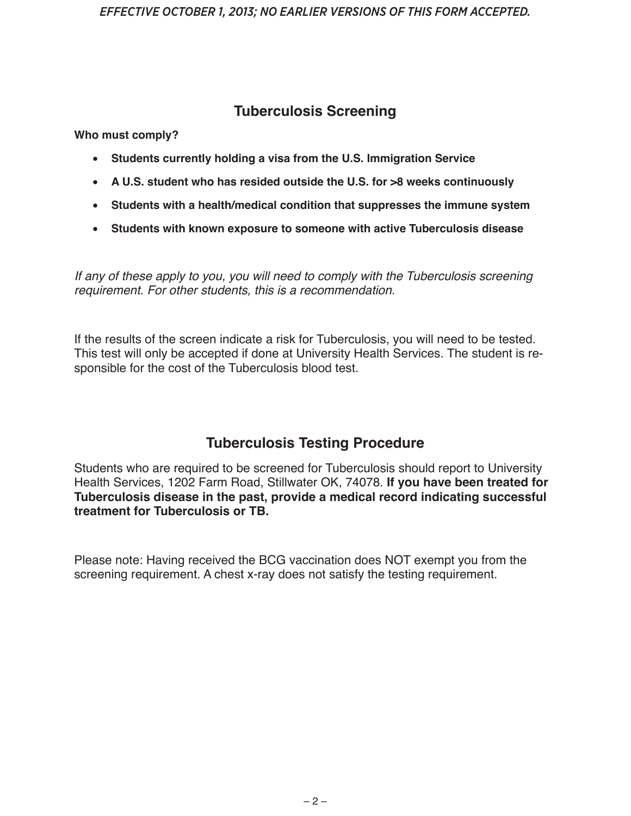# **Tuberculosis Screening**

**Who must comply?**

- • **Students currently holding a visa from the U.S. Immigration Service**
- • **A U.S. student who has resided outside the U.S. for >8 weeks continuously**
- • **Students with a health/medical condition that suppresses the immune system**
- • **Students with known exposure to someone with active Tuberculosis disease**

*If any of these apply to you, you will need to comply with the Tuberculosis screening requirement. For other students, this is a recommendation.*

If the results of the screen indicate a risk for Tuberculosis, you will need to be tested. This test will only be accepted if done at University Health Services. The student is responsible for the cost of the Tuberculosis blood test.

# **Tuberculosis Testing Procedure**

Students who are required to be screened for Tuberculosis should report to University Health Services, 1202 Farm Road, Stillwater OK, 74078. **If you have been treated for Tuberculosis disease in the past, provide a medical record indicating successful treatment for Tuberculosis or TB.**

Please note: Having received the BCG vaccination does NOT exempt you from the screening requirement. A chest x-ray does not satisfy the testing requirement.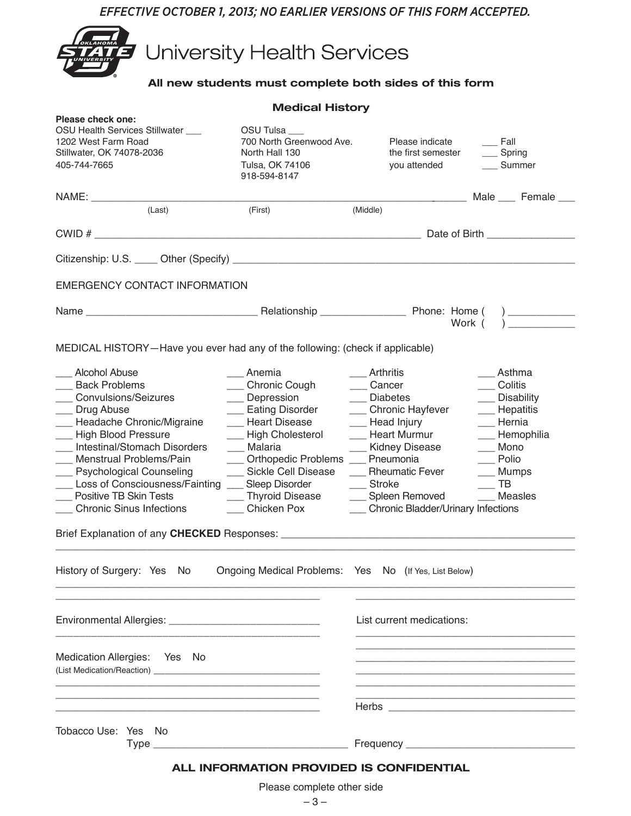*EFFECTIVE OCTOBER 1, 2013; NO EARLIER VERSIONS OF THIS FORM ACCEPTED.*



**University Health Services** 

## All new students must complete both sides of this form

|                                                                                                                                                                                                                                                                                                                                                                   | <b>Medical History</b>                                                                                                                                                                                                                    |                                                                                                                                                                                                                             |                                                                                                                                                                                       |
|-------------------------------------------------------------------------------------------------------------------------------------------------------------------------------------------------------------------------------------------------------------------------------------------------------------------------------------------------------------------|-------------------------------------------------------------------------------------------------------------------------------------------------------------------------------------------------------------------------------------------|-----------------------------------------------------------------------------------------------------------------------------------------------------------------------------------------------------------------------------|---------------------------------------------------------------------------------------------------------------------------------------------------------------------------------------|
| Please check one:<br>OSU Health Services Stillwater ___<br>1202 West Farm Road<br>Stillwater, OK 74078-2036<br>405-744-7665                                                                                                                                                                                                                                       | OSU Tulsa<br>700 North Greenwood Ave.<br>North Hall 130<br>Tulsa, OK 74106<br>918-594-8147                                                                                                                                                | Please indicate<br>the first semester<br>you attended                                                                                                                                                                       | $\_\_$ Fall<br>___ Spring<br>Summer                                                                                                                                                   |
|                                                                                                                                                                                                                                                                                                                                                                   |                                                                                                                                                                                                                                           |                                                                                                                                                                                                                             | <b>Male</b> Female 1994                                                                                                                                                               |
| (Last)                                                                                                                                                                                                                                                                                                                                                            | (First)                                                                                                                                                                                                                                   | (Middle)                                                                                                                                                                                                                    |                                                                                                                                                                                       |
|                                                                                                                                                                                                                                                                                                                                                                   |                                                                                                                                                                                                                                           |                                                                                                                                                                                                                             |                                                                                                                                                                                       |
|                                                                                                                                                                                                                                                                                                                                                                   |                                                                                                                                                                                                                                           |                                                                                                                                                                                                                             |                                                                                                                                                                                       |
| EMERGENCY CONTACT INFORMATION                                                                                                                                                                                                                                                                                                                                     |                                                                                                                                                                                                                                           |                                                                                                                                                                                                                             |                                                                                                                                                                                       |
|                                                                                                                                                                                                                                                                                                                                                                   |                                                                                                                                                                                                                                           |                                                                                                                                                                                                                             | Work $($ )                                                                                                                                                                            |
| MEDICAL HISTORY-Have you ever had any of the following: (check if applicable)                                                                                                                                                                                                                                                                                     |                                                                                                                                                                                                                                           |                                                                                                                                                                                                                             |                                                                                                                                                                                       |
| __ Alcohol Abuse<br>__ Back Problems<br>___ Convulsions/Seizures<br>__ Drug Abuse<br>- Headache Chronic/Migraine<br>__ High Blood Pressure<br>__ Intestinal/Stomach Disorders<br>__ Menstrual Problems/Pain<br>__ Psychological Counseling<br>___ Loss of Consciousness/Fainting ___ Sleep Disorder<br>___ Positive TB Skin Tests<br>___ Chronic Sinus Infections | __ Anemia<br>__ Chronic Cough<br>__ Depression<br>__ Eating Disorder<br>__ Heart Disease<br>__ High Cholesterol<br>__ Malaria<br>__ Orthopedic Problems __ Pneumonia<br>___ Sickle Cell Disease<br>___ Thyroid Disease<br>___ Chicken Pox | ___ Arthritis<br>___ Cancer<br>__ Diabetes<br>___ Chronic Hayfever<br>__ Head Injury<br>__ Heart Murmur<br>__ Kidney Disease<br>__ Rheumatic Fever<br>__ Stroke<br>___ Spleen Removed<br>Chronic Bladder/Urinary Infections | __ Asthma<br>___ Colitis<br>__ Disability<br>__ Hepatitis<br>$\frac{1}{2}$ Hernia<br>__ Hemophilia<br>__ Mono<br>$\equiv$ Polio<br>__ Mumps<br>$\overline{\phantom{a}}$ TB<br>Measles |
| History of Surgery: Yes No                                                                                                                                                                                                                                                                                                                                        | Ongoing Medical Problems: Yes No (If Yes, List Below)                                                                                                                                                                                     |                                                                                                                                                                                                                             |                                                                                                                                                                                       |
|                                                                                                                                                                                                                                                                                                                                                                   |                                                                                                                                                                                                                                           | List current medications:                                                                                                                                                                                                   |                                                                                                                                                                                       |
| Medication Allergies: Yes No                                                                                                                                                                                                                                                                                                                                      |                                                                                                                                                                                                                                           |                                                                                                                                                                                                                             |                                                                                                                                                                                       |
|                                                                                                                                                                                                                                                                                                                                                                   |                                                                                                                                                                                                                                           |                                                                                                                                                                                                                             |                                                                                                                                                                                       |
| Tobacco Use: Yes No                                                                                                                                                                                                                                                                                                                                               |                                                                                                                                                                                                                                           |                                                                                                                                                                                                                             |                                                                                                                                                                                       |
|                                                                                                                                                                                                                                                                                                                                                                   | ALL INFORMATION PROVIDED IS CONFIDENTIAL                                                                                                                                                                                                  |                                                                                                                                                                                                                             |                                                                                                                                                                                       |

Please complete other side